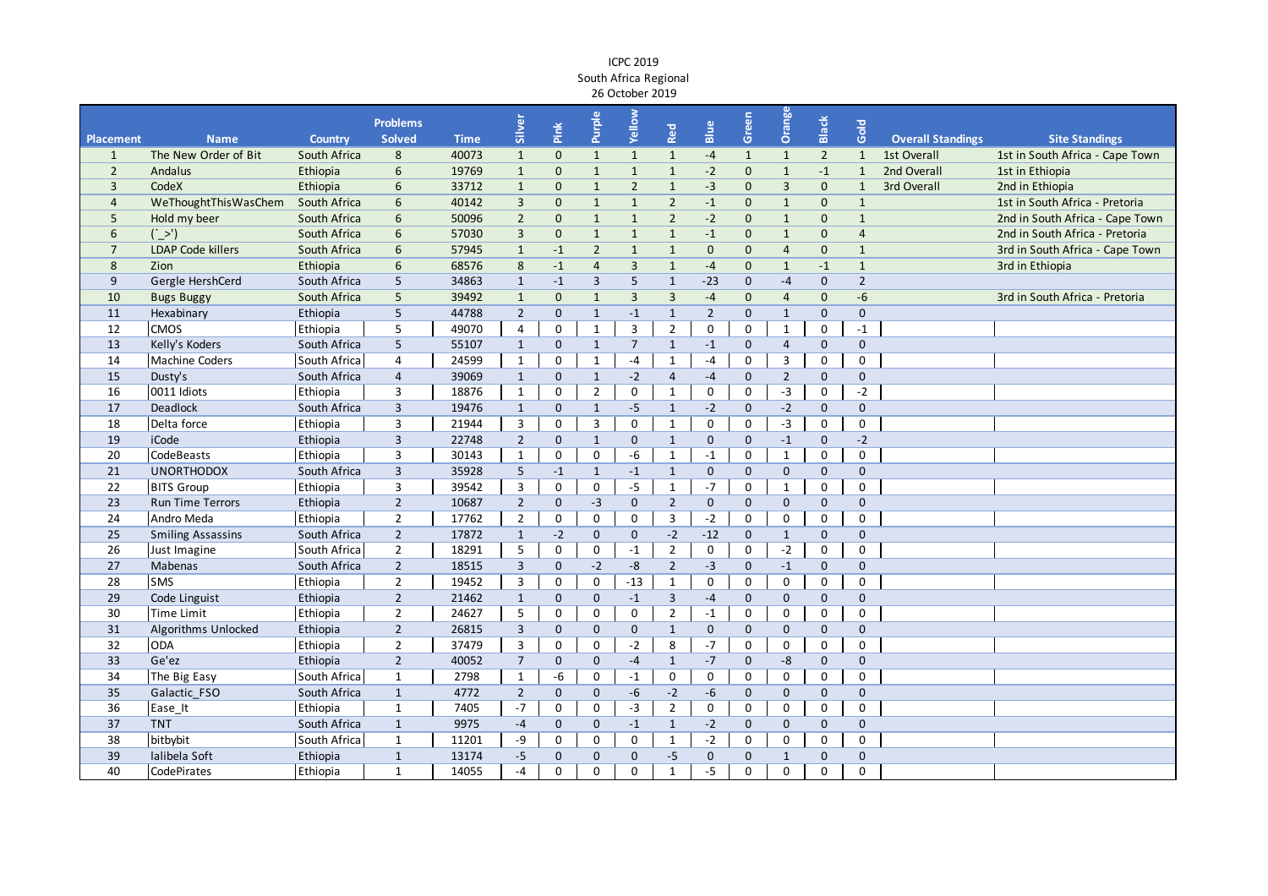## ICPC 2019 South Africa Regional 26 October 2019

|                  |                          |                | <b>Problems</b> |             |                         |              | Purple         | Yellow         |                |                | Green        | Orange         |                |                |                          |                                 |
|------------------|--------------------------|----------------|-----------------|-------------|-------------------------|--------------|----------------|----------------|----------------|----------------|--------------|----------------|----------------|----------------|--------------------------|---------------------------------|
| <b>Placement</b> | <b>Name</b>              | <b>Country</b> | <b>Solved</b>   | <b>Time</b> | Silver                  | Pink         |                |                | Red            | Blue           |              |                | Black          | Gold           | <b>Overall Standings</b> | <b>Site Standings</b>           |
| $\mathbf{1}$     | The New Order of Bit     | South Africa   | 8               | 40073       | $\mathbf{1}$            | $\mathbf 0$  | $\mathbf{1}$   | $\mathbf{1}$   | $\mathbf{1}$   | $-4$           | $\mathbf{1}$ | $\mathbf{1}$   | $\overline{2}$ | $\mathbf{1}$   | 1st Overall              | 1st in South Africa - Cape Town |
| $\overline{2}$   | Andalus                  | Ethiopia       | 6               | 19769       | $\mathbf{1}$            | $\mathbf 0$  | $\mathbf{1}$   | $\mathbf{1}$   | $\mathbf{1}$   | $-2$           | $\mathbf 0$  | $\mathbf{1}$   | $-1$           | $\mathbf{1}$   | 2nd Overall              | 1st in Ethiopia                 |
| $\overline{3}$   | CodeX                    | Ethiopia       | 6               | 33712       | $\mathbf{1}$            | $\mathbf{0}$ | $\mathbf{1}$   | $\overline{2}$ | $\mathbf{1}$   | $-3$           | $\mathbf{0}$ | $\overline{3}$ | $\mathbf 0$    | $\mathbf{1}$   | 3rd Overall              | 2nd in Ethiopia                 |
| $\overline{4}$   | WeThoughtThisWasChem     | South Africa   | 6               | 40142       | $\overline{3}$          | $\mathbf 0$  | $\mathbf{1}$   | $\overline{1}$ | $\overline{2}$ | $-1$           | $\mathbf{0}$ | $\mathbf{1}$   | $\mathbf 0$    | $\mathbf{1}$   |                          | 1st in South Africa - Pretoria  |
| 5                | Hold my beer             | South Africa   | 6               | 50096       | $\overline{2}$          | $\mathbf{0}$ | $\mathbf{1}$   | $\overline{1}$ | $\overline{2}$ | $-2$           | $\mathbf{0}$ | $\mathbf{1}$   | $\mathbf 0$    | $\mathbf{1}$   |                          | 2nd in South Africa - Cape Town |
| 6                | $(^\prime$ >')           | South Africa   | 6               | 57030       | $\overline{3}$          | $\pmb{0}$    | $\mathbf{1}$   | $\mathbf{1}$   | $\mathbf{1}$   | $-1$           | $\mathbf 0$  | $\mathbf{1}$   | $\mathbf 0$    | $\overline{4}$ |                          | 2nd in South Africa - Pretoria  |
| $\overline{7}$   | <b>LDAP Code killers</b> | South Africa   | 6               | 57945       | $\mathbf{1}$            | $-1$         | $\overline{2}$ | $\mathbf{1}$   | $\mathbf{1}$   | $\mathbf 0$    | $\mathbf 0$  | $\overline{4}$ | $\mathbf 0$    | $\mathbf{1}$   |                          | 3rd in South Africa - Cape Town |
| 8                | Zion                     | Ethiopia       | 6               | 68576       | 8                       | $-1$         | $\overline{4}$ | $\mathsf 3$    | $\mathbf{1}$   | $-4$           | $\mathbf 0$  | $\mathbf{1}$   | $-1$           | $\mathbf{1}$   |                          | 3rd in Ethiopia                 |
| 9                | Gergle HershCerd         | South Africa   | 5               | 34863       | $\mathbf{1}$            | $-1$         | $\overline{3}$ | 5              | $\mathbf{1}$   | $-23$          | $\mathbf 0$  | $-4$           | $\mathbf 0$    | $\overline{2}$ |                          |                                 |
| 10               | <b>Bugs Buggy</b>        | South Africa   | 5               | 39492       | $\mathbf{1}$            | $\mathbf 0$  | $\mathbf{1}$   | $\overline{3}$ | $\overline{3}$ | $-4$           | $\mathbf{0}$ | 4              | $\mathbf 0$    | $-6$           |                          | 3rd in South Africa - Pretoria  |
| 11               | Hexabinary               | Ethiopia       | 5               | 44788       | $\overline{2}$          | $\mathbf{0}$ | $\mathbf{1}$   | $-1$           | $\mathbf{1}$   | $\overline{2}$ | $\Omega$     | $\mathbf{1}$   | $\mathbf 0$    | $\mathbf{0}$   |                          |                                 |
| 12               | <b>CMOS</b>              | Ethiopia       | 5               | 49070       | $\overline{4}$          | $\mathbf 0$  | $\mathbf{1}$   | $\overline{3}$ | $\overline{2}$ | $\mathbf 0$    | 0            | $\mathbf{1}$   | 0              | $-1$           |                          |                                 |
| 13               | Kelly's Koders           | South Africa   | 5               | 55107       | $\mathbf{1}$            | $\mathbf{0}$ | $\mathbf{1}$   | $\overline{7}$ | $\mathbf{1}$   | $-1$           | $\mathbf{0}$ | $\overline{4}$ | $\mathbf 0$    | $\mathbf{0}$   |                          |                                 |
| 14               | Machine Coders           | South Africa   | $\overline{4}$  | 24599       | $\mathbf 1$             | $\mathsf 0$  | $\mathbf{1}$   | $-4$           | $\mathbf{1}$   | $-4$           | $\mathbf 0$  | 3              | $\pmb{0}$      | $\mathbf 0$    |                          |                                 |
| 15               | Dusty's                  | South Africa   | $\overline{4}$  | 39069       | $\mathbf{1}$            | $\mathbf 0$  | $\mathbf{1}$   | $-2$           | $\overline{4}$ | $-4$           | $\mathbf{0}$ | $\overline{2}$ | $\mathbf 0$    | $\mathbf 0$    |                          |                                 |
| 16               | 0011 Idiots              | Ethiopia       | 3               | 18876       | $\mathbf{1}$            | $\mathbf 0$  | $\overline{2}$ | $\mathbf 0$    | $\mathbf{1}$   | 0              | 0            | $-3$           | 0              | $-2$           |                          |                                 |
| 17               | Deadlock                 | South Africa   | $\overline{3}$  | 19476       | $\mathbf{1}$            | $\mathbf 0$  | $\mathbf{1}$   | $-5$           | $\mathbf{1}$   | $-2$           | $\mathbf{0}$ | $-2$           | $\mathbf 0$    | $\mathbf 0$    |                          |                                 |
| 18               | Delta force              | Ethiopia       | 3               | 21944       | 3                       | $\mathsf 0$  | 3              | $\mathsf 0$    | $\mathbf{1}$   | $\mathbf 0$    | $\mathsf 0$  | $-3$           | $\pmb{0}$      | $\mathsf 0$    |                          |                                 |
| 19               | <b>iCode</b>             | Ethiopia       | $\overline{3}$  | 22748       | $2^{\circ}$             | $\mathbf{0}$ | $\mathbf{1}$   | $\mathbf 0$    | $\mathbf{1}$   | $\mathbf{0}$   | $\mathbf{0}$ | $-1$           | $\mathbf 0$    | $-2$           |                          |                                 |
| 20               | CodeBeasts               | Ethiopia       | 3               | 30143       | $\mathbf{1}$            | $\mathsf 0$  | $\mathsf 0$    | $-6$           | $\mathbf{1}$   | $-1$           | 0            | $\mathbf{1}$   | $\pmb{0}$      | $\mathbf 0$    |                          |                                 |
| 21               | <b>UNORTHODOX</b>        | South Africa   | $\overline{3}$  | 35928       | 5 <sup>5</sup>          | $-1$         | $\mathbf{1}$   | $-1$           | $\mathbf{1}$   | $\mathbf{0}$   | $\mathbf{0}$ | $\mathbf{0}$   | $\mathbf 0$    | $\mathbf{0}$   |                          |                                 |
| 22               | <b>BITS Group</b>        | Ethiopia       | $\overline{3}$  | 39542       | $\overline{\mathbf{3}}$ | $\mathsf 0$  | $\pmb{0}$      | $-5$           | $\overline{1}$ | $-7$           | $\mathsf{O}$ | $\mathbf{1}$   | 0              | $\mathbf 0$    |                          |                                 |
| 23               | <b>Run Time Terrors</b>  | Ethiopia       | $\sqrt{2}$      | 10687       | $2^{\circ}$             | $\mathbf{0}$ | $-3$           | $\mathbf 0$    | $\overline{2}$ | $\mathbf{0}$   | $\Omega$     | $\Omega$       | $\Omega$       | $\mathbf{0}$   |                          |                                 |
| 24               | Andro Meda               | Ethiopia       | $\overline{2}$  | 17762       | $\overline{2}$          | $\mathsf 0$  | 0              | $\mathbf 0$    | $\overline{3}$ | $-2$           | 0            | 0              | 0              | $\mathbf 0$    |                          |                                 |
| 25               | <b>Smiling Assassins</b> | South Africa   | $\overline{2}$  | 17872       | $\mathbf{1}$            | $-2$         | $\mathbf 0$    | $\mathbf 0$    | $-2$           | $-12$          | $\mathbf 0$  | $\mathbf{1}$   | $\mathbf 0$    | $\mathbf 0$    |                          |                                 |
| 26               | Just Imagine             | South Africa   | $\overline{2}$  | 18291       | 5                       | $\mathsf 0$  | $\pmb{0}$      | $-1$           | $\overline{2}$ | $\mathbf 0$    | $\mathsf 0$  | $-2$           | $\pmb{0}$      | $\mathsf 0$    |                          |                                 |
| 27               | Mabenas                  | South Africa   | $\overline{2}$  | 18515       | $\overline{\mathbf{3}}$ | $\mathbf 0$  | $-2$           | $-8$           | $\overline{2}$ | $-3$           | $\mathbf{0}$ | $-1$           | $\mathbf 0$    | $\mathbf{0}$   |                          |                                 |
| 28               | <b>SMS</b>               | Ethiopia       | $\overline{2}$  | 19452       | 3                       | $\mathbf 0$  | $\mathbf 0$    | $-13$          | $\mathbf{1}$   | $\mathbf 0$    | 0            | 0              | 0              | $\mathbf 0$    |                          |                                 |
| 29               | Code Linguist            | Ethiopia       | $\overline{2}$  | 21462       | $\mathbf{1}$            | $\mathbf{0}$ | $\mathbf 0$    | $-1$           | $\overline{3}$ | $-4$           | $\mathbf{0}$ | $\overline{0}$ | $\mathbf 0$    | $\mathbf{0}$   |                          |                                 |
| 30               | <b>Time Limit</b>        | Ethiopia       | $\overline{2}$  | 24627       | 5                       | $\mathbf 0$  | $\mathbf 0$    | $\mathsf 0$    | $\overline{2}$ | $-1$           | $\mathsf{O}$ | 0              | 0              | $\mathbf 0$    |                          |                                 |
| 31               | Algorithms Unlocked      | Ethiopia       | $\overline{2}$  | 26815       | $\overline{3}$          | $\mathbf{0}$ | $\mathbf{0}$   | $\mathbf 0$    | $\mathbf{1}$   | $\mathbf{0}$   | $\mathbf{0}$ | $\overline{0}$ | $\mathbf 0$    | $\mathbf 0$    |                          |                                 |
| 32               | <b>ODA</b>               | Ethiopia       | $\overline{2}$  | 37479       | 3                       | $\mathsf 0$  | $\pmb{0}$      | $-2$           | 8              | $-7$           | $\mathsf 0$  | 0              | $\pmb{0}$      | $\mathsf 0$    |                          |                                 |
| 33               | Ge'ez                    | Ethiopia       | $\overline{2}$  | 40052       | $\overline{7}$          | $\mathbf 0$  | $\mathbf 0$    | $-4$           | $\mathbf{1}$   | $-7$           | $\mathbf 0$  | $-8$           | $\mathbf 0$    | $\mathbf 0$    |                          |                                 |
| 34               | The Big Easy             | South Africa   | $1\,$           | 2798        | $\mathbf{1}$            | -6           | $\pmb{0}$      | $-1$           | $\mathbf 0$    | $\mathbf 0$    | $\mathsf 0$  | 0              | $\pmb{0}$      | $\mathsf 0$    |                          |                                 |
| 35               | Galactic FSO             | South Africa   | $\mathbf{1}$    | 4772        | $2^{\circ}$             | $\mathbf 0$  | $\pmb{0}$      | $-6$           | $-2$           | $-6$           | $\mathbf 0$  | $\overline{0}$ | $\mathbf 0$    | $\mathbf 0$    |                          |                                 |
| 36               | Ease_It                  | Ethiopia       | $\mathbf{1}$    | 7405        | $-7$                    | $\mathsf 0$  | $\pmb{0}$      | $-3$           | $\overline{2}$ | $\mathbf 0$    | $\mathsf{O}$ | 0              | $\pmb{0}$      | $\mathsf 0$    |                          |                                 |
| 37               | <b>TNT</b>               | South Africa   | $\mathbf{1}$    | 9975        | $-4$                    | $\mathbf 0$  | $\mathbf{0}$   | $-1$           | $\mathbf{1}$   | $-2$           | $\mathbf 0$  | 0              | $\mathbf 0$    | $\mathbf 0$    |                          |                                 |
| 38               | bitbybit                 | South Africa   | $\mathbf{1}$    | 11201       | -9                      | $\mathbf 0$  | 0              | $\mathsf 0$    | $\mathbf{1}$   | $-2$           | $\mathsf{O}$ | $\mathbf 0$    | 0              | $\mathbf 0$    |                          |                                 |
| 39               | lalibela Soft            | Ethiopia       | $\mathbf{1}$    | 13174       | $-5$                    | $\mathbf 0$  | $\mathbf{0}$   | $\pmb{0}$      | $-5$           | $\mathbf{0}$   | $\mathbf{0}$ | $\mathbf 1$    | $\mathbf 0$    | $\mathbf 0$    |                          |                                 |
| 40               | CodePirates              | Ethiopia       | $\mathbf{1}$    | 14055       | $-4$                    | $\mathbf 0$  | $\Omega$       | $\Omega$       | $\mathbf{1}$   | $-5$           | $\Omega$     | 0              | $\Omega$       | $\Omega$       |                          |                                 |